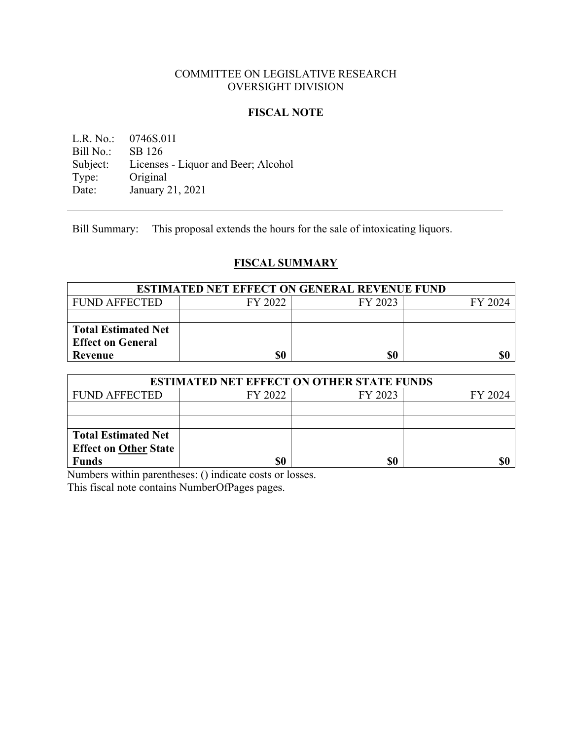### COMMITTEE ON LEGISLATIVE RESEARCH OVERSIGHT DIVISION

### **FISCAL NOTE**

L.R. No.: 0746S.01I Bill No.: SB 126 Subject: Licenses - Liquor and Beer; Alcohol<br>Type: Original Type: Original<br>Date: January 2 January 21, 2021

Bill Summary: This proposal extends the hours for the sale of intoxicating liquors.

# **FISCAL SUMMARY**

| <b>ESTIMATED NET EFFECT ON GENERAL REVENUE FUND</b> |         |         |         |
|-----------------------------------------------------|---------|---------|---------|
| FUND AFFECTED                                       | FY 2022 | FY 2023 | FY 2024 |
|                                                     |         |         |         |
| <b>Total Estimated Net</b>                          |         |         |         |
| <b>Effect on General</b>                            |         |         |         |
| Revenue                                             | \$0     | \$0     |         |

| <b>ESTIMATED NET EFFECT ON OTHER STATE FUNDS</b> |         |         |         |  |
|--------------------------------------------------|---------|---------|---------|--|
| <b>FUND AFFECTED</b>                             | FY 2022 | FY 2023 | FY 2024 |  |
|                                                  |         |         |         |  |
|                                                  |         |         |         |  |
| <b>Total Estimated Net</b>                       |         |         |         |  |
| <b>Effect on Other State</b>                     |         |         |         |  |
| Funds                                            | \$0     | \$0     |         |  |

Numbers within parentheses: () indicate costs or losses. This fiscal note contains NumberOfPages pages.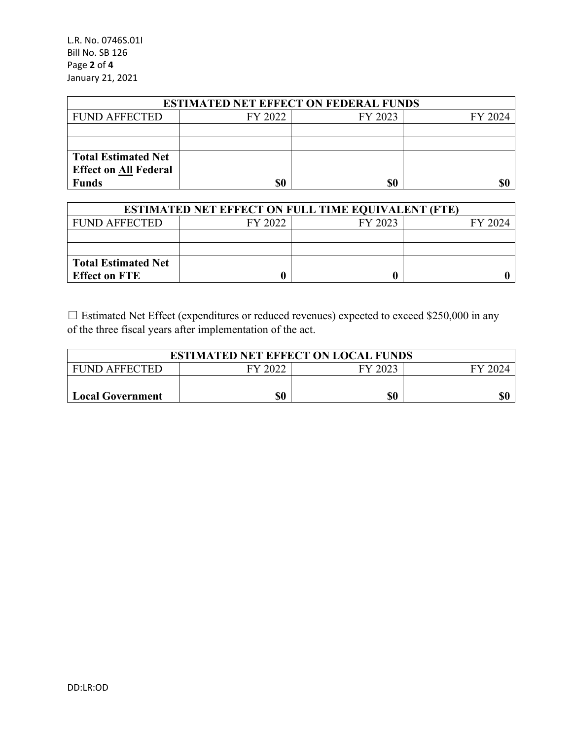L.R. No. 0746S.01I Bill No. SB 126 Page **2** of **4** January 21, 2021

| <b>ESTIMATED NET EFFECT ON FEDERAL FUNDS</b> |         |         |         |  |
|----------------------------------------------|---------|---------|---------|--|
| <b>FUND AFFECTED</b>                         | FY 2022 | FY 2023 | FY 2024 |  |
|                                              |         |         |         |  |
|                                              |         |         |         |  |
| <b>Total Estimated Net</b>                   |         |         |         |  |
| <b>Effect on All Federal</b>                 |         |         |         |  |
| <b>Funds</b>                                 | \$0     | \$0     | \$0     |  |

| <b>ESTIMATED NET EFFECT ON FULL TIME EQUIVALENT (FTE)</b> |         |         |         |  |
|-----------------------------------------------------------|---------|---------|---------|--|
| <b>FUND AFFECTED</b>                                      | FY 2022 | FY 2023 | FY 2024 |  |
|                                                           |         |         |         |  |
|                                                           |         |         |         |  |
| <b>Total Estimated Net</b>                                |         |         |         |  |
| <b>Effect on FTE</b>                                      |         |         |         |  |

☐ Estimated Net Effect (expenditures or reduced revenues) expected to exceed \$250,000 in any of the three fiscal years after implementation of the act.

| <b>ESTIMATED NET EFFECT ON LOCAL FUNDS</b> |      |         |  |
|--------------------------------------------|------|---------|--|
| <b>FUND AFFECTED</b>                       | 2022 | FY 2023 |  |
|                                            |      |         |  |
| <b>Local Government</b>                    | \$0  | \$0     |  |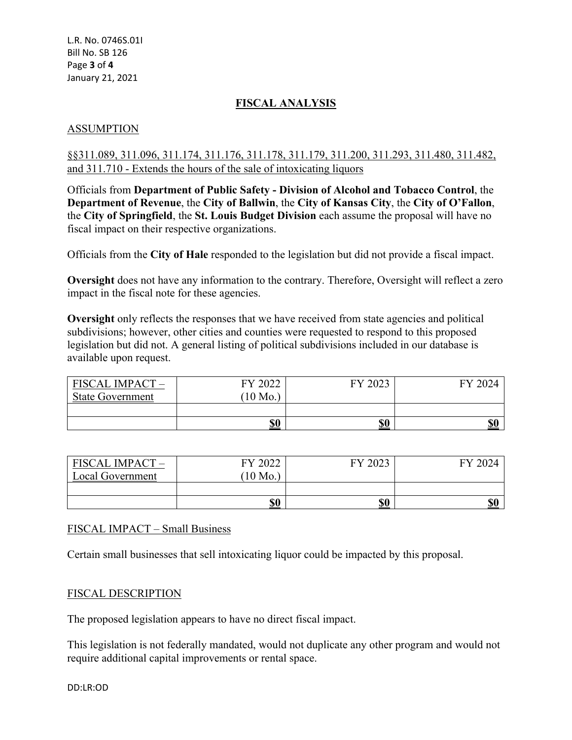# **FISCAL ANALYSIS**

## ASSUMPTION

### §§311.089, 311.096, 311.174, 311.176, 311.178, 311.179, 311.200, 311.293, 311.480, 311.482, and 311.710 - Extends the hours of the sale of intoxicating liquors

Officials from **Department of Public Safety - Division of Alcohol and Tobacco Control**, the **Department of Revenue**, the **City of Ballwin**, the **City of Kansas City**, the **City of O'Fallon**, the **City of Springfield**, the **St. Louis Budget Division** each assume the proposal will have no fiscal impact on their respective organizations.

Officials from the **City of Hale** responded to the legislation but did not provide a fiscal impact.

**Oversight** does not have any information to the contrary. Therefore, Oversight will reflect a zero impact in the fiscal note for these agencies.

**Oversight** only reflects the responses that we have received from state agencies and political subdivisions; however, other cities and counties were requested to respond to this proposed legislation but did not. A general listing of political subdivisions included in our database is available upon request.

| FISCAL IMPACT-          | FY 2022  | 2023<br>FV | FY 2024 |
|-------------------------|----------|------------|---------|
| <b>State Government</b> | $10$ Mo. |            |         |
|                         |          |            |         |
|                         | \$0      | \$0        | \$0     |

| <b>FISCAL IMPACT -</b><br>Local Government | FY 2022<br>$10$ Mo. | FY 2023 | FY 2024 |
|--------------------------------------------|---------------------|---------|---------|
|                                            |                     |         |         |
|                                            | \$0                 | \$0     | \$0     |

### FISCAL IMPACT – Small Business

Certain small businesses that sell intoxicating liquor could be impacted by this proposal.

### FISCAL DESCRIPTION

The proposed legislation appears to have no direct fiscal impact.

This legislation is not federally mandated, would not duplicate any other program and would not require additional capital improvements or rental space.

DD:LR:OD